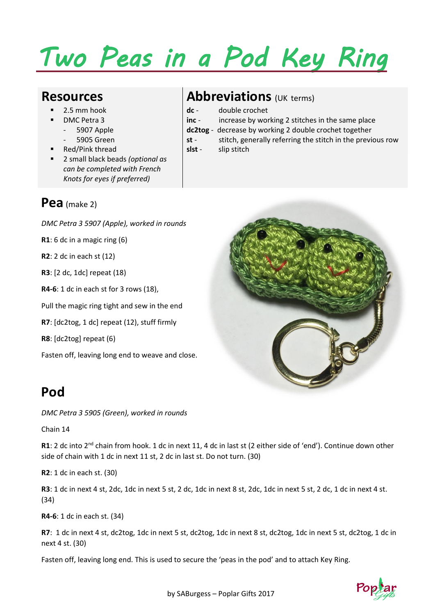# *Two Peas in a Pod Key Ring*

- 2.5 mm hook
- DMC Petra 3
	- 5907 Apple
	- 5905 Green
- Red/Pink thread
- 2 small black beads *(optional as can be completed with French Knots for eyes if preferred)*

#### **Pea** (make 2)

*DMC Petra 3 5907 (Apple), worked in rounds*

**R1**: 6 dc in a magic ring (6)

**R2**: 2 dc in each st (12)

**R3**: [2 dc, 1dc] repeat (18)

**R4-6**: 1 dc in each st for 3 rows (18),

Pull the magic ring tight and sew in the end

**R7**: [dc2tog, 1 dc] repeat (12), stuff firmly

**R8**: [dc2tog] repeat (6)

Fasten off, leaving long end to weave and close.

### **Resources Abbreviations** (UK terms)

- **dc** double crochet
- **inc** increase by working 2 stitches in the same place
- **dc2tog** decrease by working 2 double crochet together
- **st** stitch, generally referring the stitch in the previous row **slst** - slip stitch



### **Pod**

*DMC Petra 3 5905 (Green), worked in rounds*

Chain 14

**R1**: 2 dc into 2nd chain from hook. 1 dc in next 11, 4 dc in last st (2 either side of 'end'). Continue down other side of chain with 1 dc in next 11 st, 2 dc in last st. Do not turn. (30)

**R2**: 1 dc in each st. (30)

**R3**: 1 dc in next 4 st, 2dc, 1dc in next 5 st, 2 dc, 1dc in next 8 st, 2dc, 1dc in next 5 st, 2 dc, 1 dc in next 4 st. (34)

**R4-6**: 1 dc in each st. (34)

**R7**: 1 dc in next 4 st, dc2tog, 1dc in next 5 st, dc2tog, 1dc in next 8 st, dc2tog, 1dc in next 5 st, dc2tog, 1 dc in next 4 st. (30)

Fasten off, leaving long end. This is used to secure the 'peas in the pod' and to attach Key Ring.